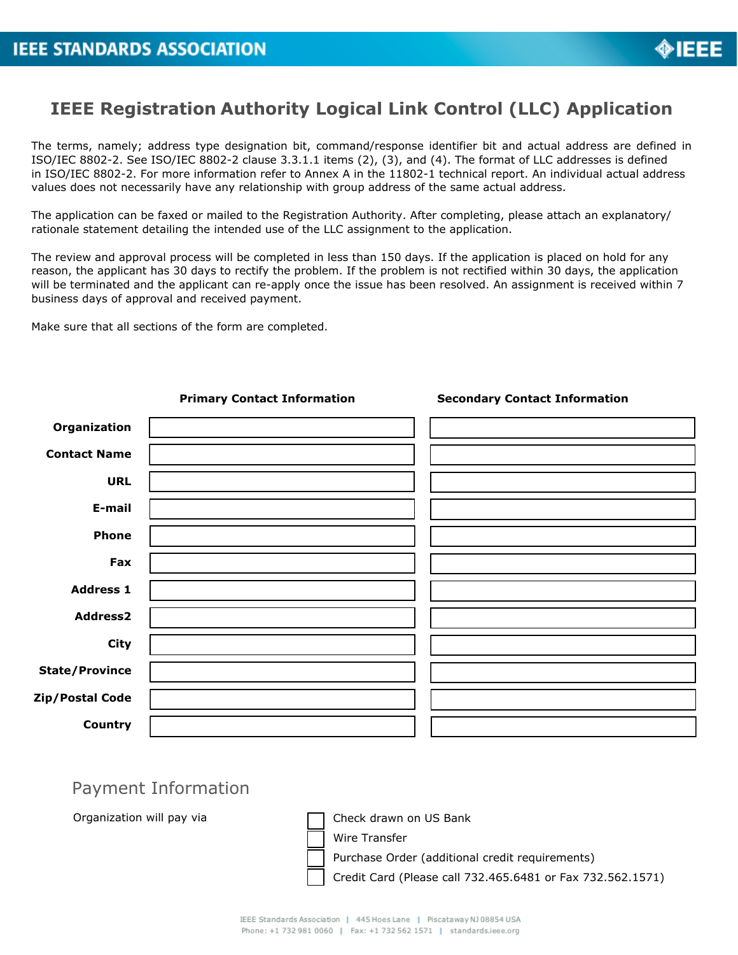

## **IEEE Registration Authority Logical Link Control (LLC) Application**

The terms, namely; address type designation bit, command/response identifier bit and actual address are defined in ISO/IEC 8802-2. See ISO/IEC 8802-2 clause 3.3.1.1 items (2), (3), and (4). The format of LLC addresses is defined in ISO/IEC 8802-2. For more information refer to Annex A in the 11802-1 technical report. An individual actual address values does not necessarily have any relationship with group address of the same actual address.

The application can be faxed or mailed to the Registration Authority. After completing, please attach an explanatory/ rationale statement detailing the intended use of the LLC assignment to the application.

The review and approval process will be completed in less than 150 days. If the application is placed on hold for any reason, the applicant has 30 days to rectify the problem. If the problem is not rectified within 30 days, the application will be terminated and the applicant can re-apply once the issue has been resolved. An assignment is received within 7 business days of approval and received payment.

Make sure that all sections of the form are completed.



## Payment Information

Organization will pay via  $\Box$  Check drawn on US Bank

Wire Transfer

Purchase Order (additional credit requirements)

Credit Card (Please call 732.465.6481 or Fax 732.562.1571)